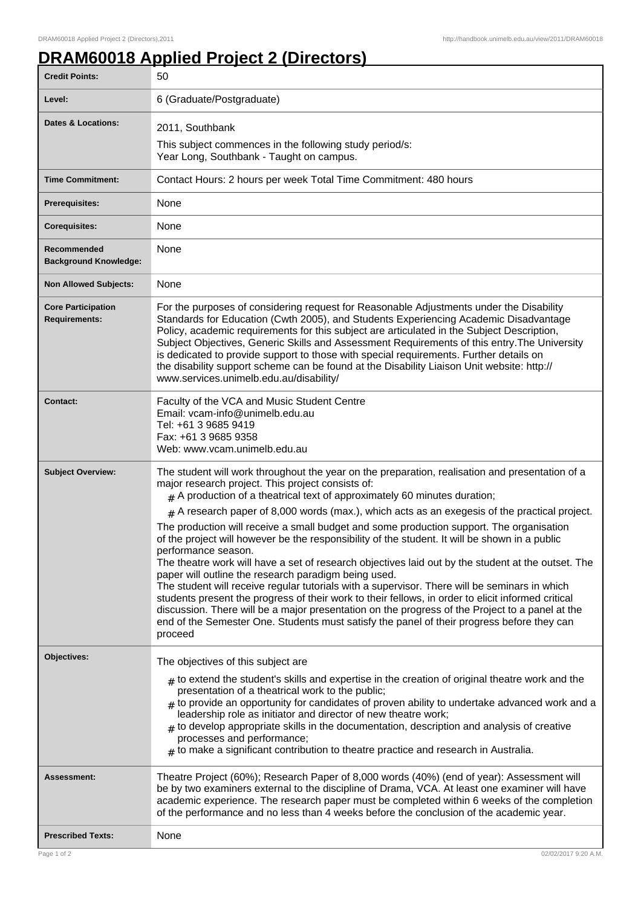## **DRAM60018 Applied Project 2 (Directors)**

| <b>Credit Points:</b>                             | 50                                                                                                                                                                                                                                                                                                                                                                                                                                                                                                                                                                                                                                                                                                                                                                                                 |
|---------------------------------------------------|----------------------------------------------------------------------------------------------------------------------------------------------------------------------------------------------------------------------------------------------------------------------------------------------------------------------------------------------------------------------------------------------------------------------------------------------------------------------------------------------------------------------------------------------------------------------------------------------------------------------------------------------------------------------------------------------------------------------------------------------------------------------------------------------------|
| Level:                                            | 6 (Graduate/Postgraduate)                                                                                                                                                                                                                                                                                                                                                                                                                                                                                                                                                                                                                                                                                                                                                                          |
| <b>Dates &amp; Locations:</b>                     | 2011, Southbank                                                                                                                                                                                                                                                                                                                                                                                                                                                                                                                                                                                                                                                                                                                                                                                    |
|                                                   | This subject commences in the following study period/s:<br>Year Long, Southbank - Taught on campus.                                                                                                                                                                                                                                                                                                                                                                                                                                                                                                                                                                                                                                                                                                |
| <b>Time Commitment:</b>                           | Contact Hours: 2 hours per week Total Time Commitment: 480 hours                                                                                                                                                                                                                                                                                                                                                                                                                                                                                                                                                                                                                                                                                                                                   |
| Prerequisites:                                    | None                                                                                                                                                                                                                                                                                                                                                                                                                                                                                                                                                                                                                                                                                                                                                                                               |
| <b>Corequisites:</b>                              | None                                                                                                                                                                                                                                                                                                                                                                                                                                                                                                                                                                                                                                                                                                                                                                                               |
| Recommended<br><b>Background Knowledge:</b>       | None                                                                                                                                                                                                                                                                                                                                                                                                                                                                                                                                                                                                                                                                                                                                                                                               |
| <b>Non Allowed Subjects:</b>                      | None                                                                                                                                                                                                                                                                                                                                                                                                                                                                                                                                                                                                                                                                                                                                                                                               |
| <b>Core Participation</b><br><b>Requirements:</b> | For the purposes of considering request for Reasonable Adjustments under the Disability<br>Standards for Education (Cwth 2005), and Students Experiencing Academic Disadvantage<br>Policy, academic requirements for this subject are articulated in the Subject Description,<br>Subject Objectives, Generic Skills and Assessment Requirements of this entry. The University<br>is dedicated to provide support to those with special requirements. Further details on<br>the disability support scheme can be found at the Disability Liaison Unit website: http://<br>www.services.unimelb.edu.au/disability/                                                                                                                                                                                   |
| <b>Contact:</b>                                   | Faculty of the VCA and Music Student Centre<br>Email: vcam-info@unimelb.edu.au<br>Tel: +61 3 9685 9419<br>Fax: +61 3 9685 9358<br>Web: www.vcam.unimelb.edu.au                                                                                                                                                                                                                                                                                                                                                                                                                                                                                                                                                                                                                                     |
| <b>Subject Overview:</b>                          | The student will work throughout the year on the preparation, realisation and presentation of a<br>major research project. This project consists of:<br>$#$ A production of a theatrical text of approximately 60 minutes duration;                                                                                                                                                                                                                                                                                                                                                                                                                                                                                                                                                                |
|                                                   | $#$ A research paper of 8,000 words (max.), which acts as an exegesis of the practical project.                                                                                                                                                                                                                                                                                                                                                                                                                                                                                                                                                                                                                                                                                                    |
|                                                   | The production will receive a small budget and some production support. The organisation<br>of the project will however be the responsibility of the student. It will be shown in a public<br>performance season.<br>The theatre work will have a set of research objectives laid out by the student at the outset. The<br>paper will outline the research paradigm being used.<br>The student will receive regular tutorials with a supervisor. There will be seminars in which<br>students present the progress of their work to their fellows, in order to elicit informed critical<br>discussion. There will be a major presentation on the progress of the Project to a panel at the<br>end of the Semester One. Students must satisfy the panel of their progress before they can<br>proceed |
| Objectives:                                       | The objectives of this subject are                                                                                                                                                                                                                                                                                                                                                                                                                                                                                                                                                                                                                                                                                                                                                                 |
|                                                   | $_{\#}$ to extend the student's skills and expertise in the creation of original theatre work and the<br>presentation of a theatrical work to the public;<br>$#$ to provide an opportunity for candidates of proven ability to undertake advanced work and a<br>leadership role as initiator and director of new theatre work;<br>$*$ to develop appropriate skills in the documentation, description and analysis of creative<br>processes and performance;<br>$_{\text{\#}}$ to make a significant contribution to theatre practice and research in Australia.                                                                                                                                                                                                                                   |
| <b>Assessment:</b>                                | Theatre Project (60%); Research Paper of 8,000 words (40%) (end of year): Assessment will<br>be by two examiners external to the discipline of Drama, VCA. At least one examiner will have<br>academic experience. The research paper must be completed within 6 weeks of the completion<br>of the performance and no less than 4 weeks before the conclusion of the academic year.                                                                                                                                                                                                                                                                                                                                                                                                                |
| <b>Prescribed Texts:</b>                          | None                                                                                                                                                                                                                                                                                                                                                                                                                                                                                                                                                                                                                                                                                                                                                                                               |
| Page 1 of 2                                       | 02/02/2017 9:20 A.M.                                                                                                                                                                                                                                                                                                                                                                                                                                                                                                                                                                                                                                                                                                                                                                               |